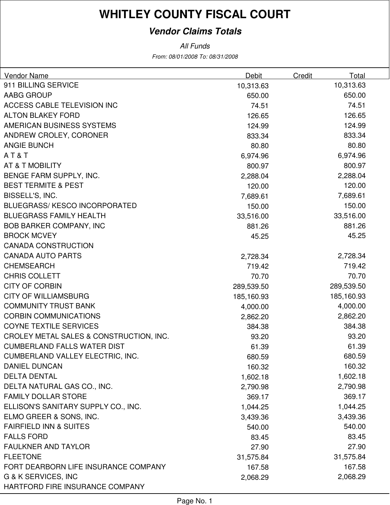### **Vendor Claims Totals**

From: 08/01/2008 To: 08/31/2008 All Funds

| Vendor Name                             | Debit      | Credit | Total      |
|-----------------------------------------|------------|--------|------------|
| 911 BILLING SERVICE                     | 10,313.63  |        | 10,313.63  |
| AABG GROUP                              | 650.00     |        | 650.00     |
| ACCESS CABLE TELEVISION INC             | 74.51      |        | 74.51      |
| <b>ALTON BLAKEY FORD</b>                | 126.65     |        | 126.65     |
| AMERICAN BUSINESS SYSTEMS               | 124.99     |        | 124.99     |
| ANDREW CROLEY, CORONER                  | 833.34     |        | 833.34     |
| <b>ANGIE BUNCH</b>                      | 80.80      |        | 80.80      |
| AT&T                                    | 6,974.96   |        | 6,974.96   |
| AT & T MOBILITY                         | 800.97     |        | 800.97     |
| BENGE FARM SUPPLY, INC.                 | 2,288.04   |        | 2,288.04   |
| <b>BEST TERMITE &amp; PEST</b>          | 120.00     |        | 120.00     |
| BISSELL'S, INC.                         | 7,689.61   |        | 7,689.61   |
| <b>BLUEGRASS/KESCO INCORPORATED</b>     | 150.00     |        | 150.00     |
| <b>BLUEGRASS FAMILY HEALTH</b>          | 33,516.00  |        | 33,516.00  |
| <b>BOB BARKER COMPANY, INC</b>          | 881.26     |        | 881.26     |
| <b>BROCK MCVEY</b>                      | 45.25      |        | 45.25      |
| <b>CANADA CONSTRUCTION</b>              |            |        |            |
| <b>CANADA AUTO PARTS</b>                | 2,728.34   |        | 2,728.34   |
| <b>CHEMSEARCH</b>                       | 719.42     |        | 719.42     |
| <b>CHRIS COLLETT</b>                    | 70.70      |        | 70.70      |
| <b>CITY OF CORBIN</b>                   | 289,539.50 |        | 289,539.50 |
| <b>CITY OF WILLIAMSBURG</b>             | 185,160.93 |        | 185,160.93 |
| <b>COMMUNITY TRUST BANK</b>             | 4,000.00   |        | 4,000.00   |
| <b>CORBIN COMMUNICATIONS</b>            | 2,862.20   |        | 2,862.20   |
| <b>COYNE TEXTILE SERVICES</b>           | 384.38     |        | 384.38     |
| CROLEY METAL SALES & CONSTRUCTION, INC. | 93.20      |        | 93.20      |
| <b>CUMBERLAND FALLS WATER DIST</b>      | 61.39      |        | 61.39      |
| <b>CUMBERLAND VALLEY ELECTRIC, INC.</b> | 680.59     |        | 680.59     |
| <b>DANIEL DUNCAN</b>                    | 160.32     |        | 160.32     |
| <b>DELTA DENTAL</b>                     | 1,602.18   |        | 1,602.18   |
| DELTA NATURAL GAS CO., INC.             | 2,790.98   |        | 2,790.98   |
| <b>FAMILY DOLLAR STORE</b>              | 369.17     |        | 369.17     |
| ELLISON'S SANITARY SUPPLY CO., INC.     | 1,044.25   |        | 1,044.25   |
| ELMO GREER & SONS, INC.                 | 3,439.36   |        | 3,439.36   |
| <b>FAIRFIELD INN &amp; SUITES</b>       | 540.00     |        | 540.00     |
| <b>FALLS FORD</b>                       | 83.45      |        | 83.45      |
| <b>FAULKNER AND TAYLOR</b>              | 27.90      |        | 27.90      |
| <b>FLEETONE</b>                         | 31,575.84  |        | 31,575.84  |
| FORT DEARBORN LIFE INSURANCE COMPANY    | 167.58     |        | 167.58     |
| G & K SERVICES, INC                     | 2,068.29   |        | 2,068.29   |
| HARTFORD FIRE INSURANCE COMPANY         |            |        |            |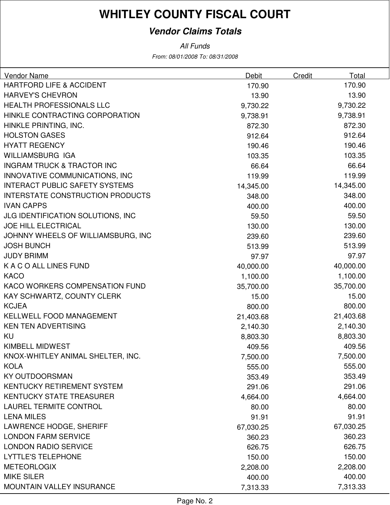### **Vendor Claims Totals**

From: 08/01/2008 To: 08/31/2008 All Funds

| Vendor Name                              | Debit     | Credit | Total     |
|------------------------------------------|-----------|--------|-----------|
| <b>HARTFORD LIFE &amp; ACCIDENT</b>      | 170.90    |        | 170.90    |
| <b>HARVEY'S CHEVRON</b>                  | 13.90     |        | 13.90     |
| <b>HEALTH PROFESSIONALS LLC</b>          | 9,730.22  |        | 9,730.22  |
| HINKLE CONTRACTING CORPORATION           | 9,738.91  |        | 9,738.91  |
| HINKLE PRINTING, INC.                    | 872.30    |        | 872.30    |
| <b>HOLSTON GASES</b>                     | 912.64    |        | 912.64    |
| <b>HYATT REGENCY</b>                     | 190.46    |        | 190.46    |
| <b>WILLIAMSBURG IGA</b>                  | 103.35    |        | 103.35    |
| <b>INGRAM TRUCK &amp; TRACTOR INC</b>    | 66.64     |        | 66.64     |
| INNOVATIVE COMMUNICATIONS, INC           | 119.99    |        | 119.99    |
| <b>INTERACT PUBLIC SAFETY SYSTEMS</b>    | 14,345.00 |        | 14,345.00 |
| INTERSTATE CONSTRUCTION PRODUCTS         | 348.00    |        | 348.00    |
| <b>IVAN CAPPS</b>                        | 400.00    |        | 400.00    |
| <b>JLG IDENTIFICATION SOLUTIONS, INC</b> | 59.50     |        | 59.50     |
| <b>JOE HILL ELECTRICAL</b>               | 130.00    |        | 130.00    |
| JOHNNY WHEELS OF WILLIAMSBURG, INC       | 239.60    |        | 239.60    |
| <b>JOSH BUNCH</b>                        | 513.99    |        | 513.99    |
| <b>JUDY BRIMM</b>                        | 97.97     |        | 97.97     |
| K A C O ALL LINES FUND                   | 40,000.00 |        | 40,000.00 |
| <b>KACO</b>                              | 1,100.00  |        | 1,100.00  |
| KACO WORKERS COMPENSATION FUND           | 35,700.00 |        | 35,700.00 |
| KAY SCHWARTZ, COUNTY CLERK               | 15.00     |        | 15.00     |
| <b>KCJEA</b>                             | 800.00    |        | 800.00    |
| KELLWELL FOOD MANAGEMENT                 | 21,403.68 |        | 21,403.68 |
| <b>KEN TEN ADVERTISING</b>               | 2,140.30  |        | 2,140.30  |
| KU                                       | 8,803.30  |        | 8,803.30  |
| <b>KIMBELL MIDWEST</b>                   | 409.56    |        | 409.56    |
| KNOX-WHITLEY ANIMAL SHELTER, INC.        | 7,500.00  |        | 7,500.00  |
| <b>KOLA</b>                              | 555.00    |        | 555.00    |
| <b>KY OUTDOORSMAN</b>                    | 353.49    |        | 353.49    |
| KENTUCKY RETIREMENT SYSTEM               | 291.06    |        | 291.06    |
| <b>KENTUCKY STATE TREASURER</b>          | 4,664.00  |        | 4,664.00  |
| <b>LAUREL TERMITE CONTROL</b>            | 80.00     |        | 80.00     |
| <b>LENA MILES</b>                        | 91.91     |        | 91.91     |
| LAWRENCE HODGE, SHERIFF                  | 67,030.25 |        | 67,030.25 |
| <b>LONDON FARM SERVICE</b>               | 360.23    |        | 360.23    |
| <b>LONDON RADIO SERVICE</b>              | 626.75    |        | 626.75    |
| <b>LYTTLE'S TELEPHONE</b>                | 150.00    |        | 150.00    |
| <b>METEORLOGIX</b>                       | 2,208.00  |        | 2,208.00  |
| <b>MIKE SILER</b>                        | 400.00    |        | 400.00    |
| MOUNTAIN VALLEY INSURANCE                | 7,313.33  |        | 7,313.33  |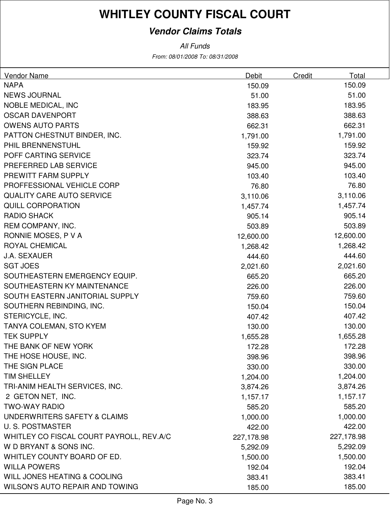### **Vendor Claims Totals**

From: 08/01/2008 To: 08/31/2008 All Funds

| Vendor Name                              | Debit      | Credit | Total      |
|------------------------------------------|------------|--------|------------|
| <b>NAPA</b>                              | 150.09     |        | 150.09     |
| <b>NEWS JOURNAL</b>                      | 51.00      |        | 51.00      |
| <b>NOBLE MEDICAL, INC</b>                | 183.95     |        | 183.95     |
| <b>OSCAR DAVENPORT</b>                   | 388.63     |        | 388.63     |
| <b>OWENS AUTO PARTS</b>                  | 662.31     |        | 662.31     |
| PATTON CHESTNUT BINDER, INC.             | 1,791.00   |        | 1,791.00   |
| PHIL BRENNENSTUHL                        | 159.92     |        | 159.92     |
| POFF CARTING SERVICE                     | 323.74     |        | 323.74     |
| PREFERRED LAB SERVICE                    | 945.00     |        | 945.00     |
| PREWITT FARM SUPPLY                      | 103.40     |        | 103.40     |
| PROFFESSIONAL VEHICLE CORP               | 76.80      |        | 76.80      |
| <b>QUALITY CARE AUTO SERVICE</b>         | 3,110.06   |        | 3,110.06   |
| <b>QUILL CORPORATION</b>                 | 1,457.74   |        | 1,457.74   |
| <b>RADIO SHACK</b>                       | 905.14     |        | 905.14     |
| REM COMPANY, INC.                        | 503.89     |        | 503.89     |
| RONNIE MOSES, P V A                      | 12,600.00  |        | 12,600.00  |
| <b>ROYAL CHEMICAL</b>                    | 1,268.42   |        | 1,268.42   |
| <b>J.A. SEXAUER</b>                      | 444.60     |        | 444.60     |
| <b>SGT JOES</b>                          | 2,021.60   |        | 2,021.60   |
| SOUTHEASTERN EMERGENCY EQUIP.            | 665.20     |        | 665.20     |
| SOUTHEASTERN KY MAINTENANCE              | 226.00     |        | 226.00     |
| SOUTH EASTERN JANITORIAL SUPPLY          | 759.60     |        | 759.60     |
| SOUTHERN REBINDING, INC.                 | 150.04     |        | 150.04     |
| STERICYCLE, INC.                         | 407.42     |        | 407.42     |
| TANYA COLEMAN, STO KYEM                  | 130.00     |        | 130.00     |
| <b>TEK SUPPLY</b>                        | 1,655.28   |        | 1,655.28   |
| THE BANK OF NEW YORK                     | 172.28     |        | 172.28     |
| THE HOSE HOUSE, INC.                     | 398.96     |        | 398.96     |
| THE SIGN PLACE                           | 330.00     |        | 330.00     |
| <b>TIM SHELLEY</b>                       | 1,204.00   |        | 1,204.00   |
| TRI-ANIM HEALTH SERVICES, INC.           | 3,874.26   |        | 3,874.26   |
| 2 GETON NET, INC.                        | 1,157.17   |        | 1,157.17   |
| <b>TWO-WAY RADIO</b>                     | 585.20     |        | 585.20     |
| UNDERWRITERS SAFETY & CLAIMS             | 1,000.00   |        | 1,000.00   |
| <b>U.S. POSTMASTER</b>                   | 422.00     |        | 422.00     |
| WHITLEY CO FISCAL COURT PAYROLL, REV.A/C | 227,178.98 |        | 227,178.98 |
| W D BRYANT & SONS INC.                   | 5,292.09   |        | 5,292.09   |
| WHITLEY COUNTY BOARD OF ED.              | 1,500.00   |        | 1,500.00   |
| <b>WILLA POWERS</b>                      | 192.04     |        | 192.04     |
| WILL JONES HEATING & COOLING             | 383.41     |        | 383.41     |
| WILSON'S AUTO REPAIR AND TOWING          | 185.00     |        | 185.00     |